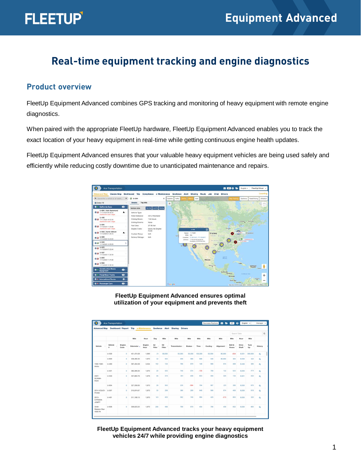## **Real-time equipment tracking and engine diagnostics**

#### **Product overview**

FleetUp Equipment Advanced combines GPS tracking and monitoring of heavy equipment with remote engine diagnostics.

When paired with the appropriate FleetUp hardware, FleetUp Equipment Advanced enables you to track the exact location of your heavy equipment in real-time while getting continuous engine health updates.

FleetUp Equipment Advanced ensures that your valuable heavy equipment vehicles are being used safely and efficiently while reducing costly downtime due to unanticipated maintenance and repairs.



**FleetUp Equipment Advanced ensures optimal utilization of your equipment and prevents theft**

| <b>Advanced Map</b>                  |               |                | Dashboard / Report Trip e-Maintenance Geofence Alert Sharing |                |               |               | <b>Drivers</b> |               |              |         |                  |                 |                |            |          |
|--------------------------------------|---------------|----------------|--------------------------------------------------------------|----------------|---------------|---------------|----------------|---------------|--------------|---------|------------------|-----------------|----------------|------------|----------|
|                                      |               |                |                                                              |                |               |               |                |               |              |         | Search Table     |                 |                |            |          |
|                                      |               |                | Mile                                                         | Hour           | Day           | Mile          | Mile           | Mile          | Mile         | Mile    | Mile             | Mile            | Hour           | Mile       |          |
| Vehicle                              | Vehicle<br>ø. | Engine<br>Code | Odometer -                                                   | Engine<br>Hour | Air<br>Filter | Oil<br>Filter | Transmission   | <b>Brakes</b> | <b>Tires</b> | Cooling | <b>Alignment</b> | Belt &<br>Hoses | Drive<br>Shaft | Tune<br>Up | History  |
|                                      | $U - 500$     | $\circ$        | 451,474.58                                                   | 1,969          | 21            | 80,000        | 50,000         | 30,000        | 100,000      | 50,000  | 80,000           | $-634$          | 8.031          | 300,000    | $\alpha$ |
|                                      | $U - 600$     | $\circ$        | 438.460.35                                                   | 1,970          | 32            | 543           | 456            | 586           | 698          | 546     | 80,000           | 364             | 8,030          | 322        | $\alpha$ |
| 1582-1582-<br>Aristo                 | $U - 480$     | $\circ$        | 397.404.58                                                   | 3,554          | 102           | 124           | 786            | 879           | 148          | 986     | 874              | 458             | 6.446          | 385        | $\alpha$ |
|                                      | U-501         | $\circ$        | 382,385.03                                                   | 1,970          | 20            | 543           | 746            | 574           | $-135$       | 798     | 132              | 543             | 8,030          | 213        | $\alpha$ |
| $2007 -$<br>SCANIA-<br>R420          | U-530         | $\Omega$       | 337,883.76                                                   | 1,979          | $95 -$        | 315           | 351            | 408           | 603          | 595     | 325              | 134             | 8,021          | 432        | $\alpha$ |
|                                      | U-604         | $\circ$        | 327,358.05                                                   | 1,970          | 29            | 543           | 235            | -564          | 794          | 987     | 231              | 356             | 8,030          | 875        | Q        |
| 2014-VOLVO-<br>FH460                 | U-007         | $\Omega$       | 315,974.07                                                   | 1,970          | 30            | 206           | 386            | 268           | 648          | 986     | 874              | 458             | 8,030          | 918        | $\alpha$ |
| $2013 -$<br>CITROEN-<br>JUMPY        | $U - 481$     | $\Omega$       | 311, 166, 13                                                 | 1,970          | 101           | 403           | 562            | 748           | 984          | 429     | $-513$           | 893             | 8.030          | 320        | $\alpha$ |
| $3348 -$<br>Western Star-<br>4900 FA | $U - 606$     | $\circ$        | 309.023.25                                                   | 1.970          | 206           | 486           | 789            | 879           | 454          | 786     | 458              | 652             | 8,030          | 865        | $\alpha$ |

**FleetUp Equipment Advanced tracks your heavy equipment vehicles 24/7 while providing engine diagnostics**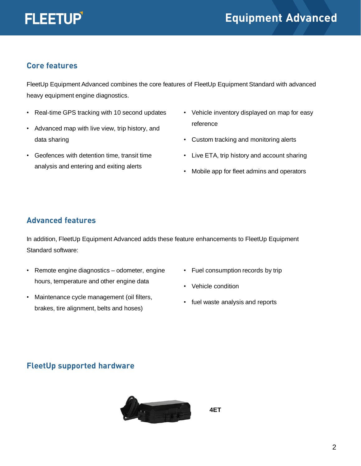

#### **Core features**

FleetUp Equipment Advanced combines the core features of FleetUp Equipment Standard with advanced heavy equipment engine diagnostics.

- Real-time GPS tracking with 10 second updates
- Advanced map with live view, trip history, and data sharing
- Geofences with detention time, transit time analysis and entering and exiting alerts
- Vehicle inventory displayed on map for easy reference
- Custom tracking and monitoring alerts
- Live ETA, trip history and account sharing
- Mobile app for fleet admins and operators

#### **Advanced features**

In addition, FleetUp Equipment Advanced adds these feature enhancements to FleetUp Equipment Standard software:

- Remote engine diagnostics odometer, engine hours, temperature and other engine data
- Maintenance cycle management (oil filters, brakes, tire alignment, belts and hoses)
- Fuel consumption records by trip
- Vehicle condition
- fuel waste analysis and reports

#### **FleetUp supported hardware**



**4ET**